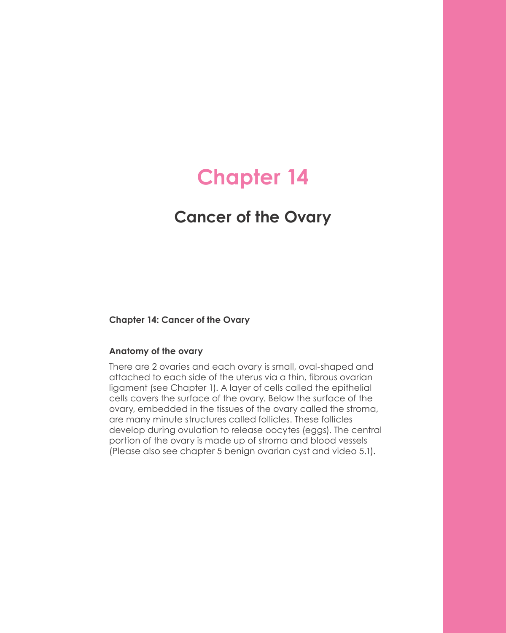# **Chapter 14**

## **Cancer of the Ovary**

#### **Chapter 14: Cancer of the Ovary**

#### **Anatomy of the ovary**

There are 2 ovaries and each ovary is small, oval-shaped and attached to each side of the uterus via a thin, fibrous ovarian ligament (see Chapter 1). A layer of cells called the epithelial cells covers the surface of the ovary. Below the surface of the ovary, embedded in the tissues of the ovary called the stroma, are many minute structures called follicles. These follicles develop during ovulation to release oocytes (eggs). The central portion of the ovary is made up of stroma and blood vessels (Please also see chapter 5 benign ovarian cyst and video 5.1).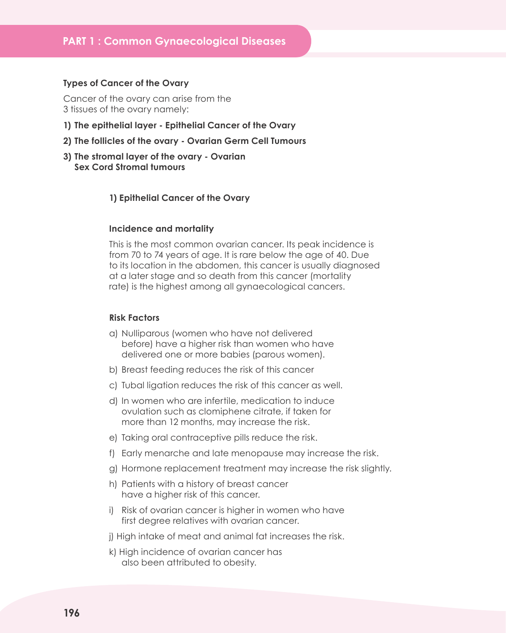#### **Types of Cancer of the Ovary**

Cancer of the ovary can arise from the 3 tissues of the ovary namely:

- **1) The epithelial layer Epithelial Cancer of the Ovary**
- **2) The follicles of the ovary Ovarian Germ Cell Tumours**
- **3) The stromal layer of the ovary Ovarian Sex Cord Stromal tumours**

#### **1) Epithelial Cancer of the Ovary**

#### **Incidence and mortality**

This is the most common ovarian cancer. Its peak incidence is from 70 to 74 years of age. It is rare below the age of 40. Due to its location in the abdomen, this cancer is usually diagnosed at a later stage and so death from this cancer (mortality rate) is the highest among all gynaecological cancers.

#### **Risk Factors**

- a) Nulliparous (women who have not delivered before) have a higher risk than women who have delivered one or more babies (parous women).
- b) Breast feeding reduces the risk of this cancer
- c) Tubal ligation reduces the risk of this cancer as well.
- d) In women who are infertile, medication to induce ovulation such as clomiphene citrate, if taken for more than 12 months, may increase the risk.
- e) Taking oral contraceptive pills reduce the risk.
- f) Early menarche and late menopause may increase the risk.
- g) Hormone replacement treatment may increase the risk slightly.
- h) Patients with a history of breast cancer have a higher risk of this cancer.
- i) Risk of ovarian cancer is higher in women who have first degree relatives with ovarian cancer.
- j) High intake of meat and animal fat increases the risk.
- k) High incidence of ovarian cancer has also been attributed to obesity.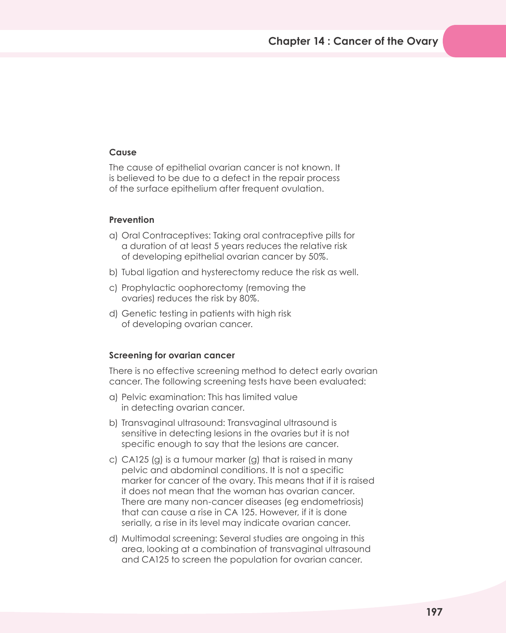## **Cause**

The cause of epithelial ovarian cancer is not known. It is believed to be due to a defect in the repair process of the surface epithelium after frequent ovulation.

#### **Prevention**

- a) Oral Contraceptives: Taking oral contraceptive pills for a duration of at least 5 years reduces the relative risk of developing epithelial ovarian cancer by 50%.
- b) Tubal ligation and hysterectomy reduce the risk as well.
- c) Prophylactic oophorectomy (removing the ovaries) reduces the risk by 80%.
- d) Genetic testing in patients with high risk of developing ovarian cancer.

#### **Screening for ovarian cancer**

There is no effective screening method to detect early ovarian cancer. The following screening tests have been evaluated:

- a) Pelvic examination: This has limited value in detecting ovarian cancer.
- b) Transvaginal ultrasound: Transvaginal ultrasound is sensitive in detecting lesions in the ovaries but it is not specific enough to say that the lesions are cancer.
- c) CA125 (g) is a tumour marker (g) that is raised in many pelvic and abdominal conditions. It is not a specific marker for cancer of the ovary. This means that if it is raised it does not mean that the woman has ovarian cancer. There are many non-cancer diseases (eg endometriosis) that can cause a rise in CA 125. However, if it is done serially, a rise in its level may indicate ovarian cancer.
- d) Multimodal screening: Several studies are ongoing in this area, looking at a combination of transvaginal ultrasound and CA125 to screen the population for ovarian cancer.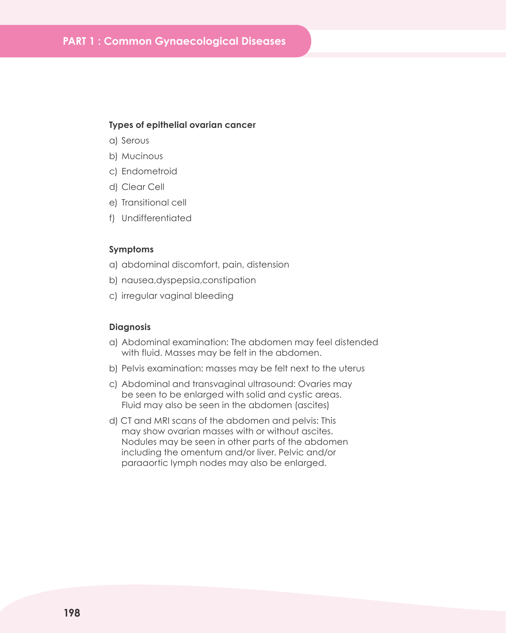#### **Types of epithelial ovarian cancer**

- a) Serous
- b) Mucinous
- c) Endometroid
- d) Clear Cell
- e) Transitional cell
- f) Undifferentiated

## **Symptoms**

- a) abdominal discomfort, pain, distension
- b) nausea,dyspepsia,constipation
- c) irregular vaginal bleeding

## **Diagnosis**

- a) Abdominal examination: The abdomen may feel distended with fluid. Masses may be felt in the abdomen.
- b) Pelvis examination: masses may be felt next to the uterus
- c) Abdominal and transvaginal ultrasound: Ovaries may be seen to be enlarged with solid and cystic areas. Fluid may also be seen in the abdomen (ascites)
- d) CT and MRI scans of the abdomen and pelvis: This may show ovarian masses with or without ascites. Nodules may be seen in other parts of the abdomen including the omentum and/or liver. Pelvic and/or paraaortic lymph nodes may also be enlarged.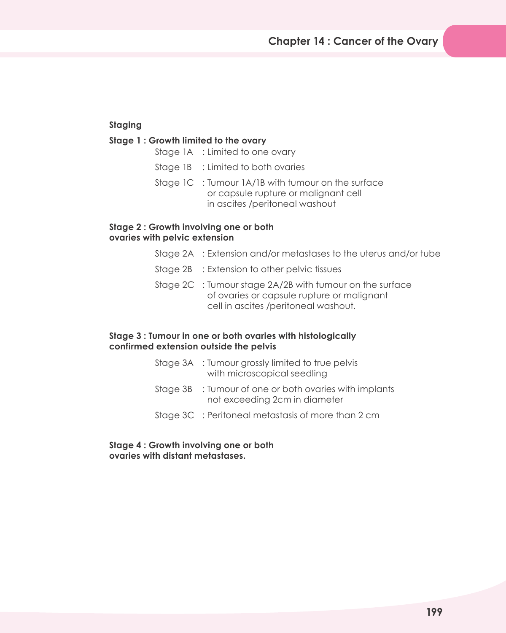## **Staging**

## **Stage 1 : Growth limited to the ovary**

- Stage 1A : Limited to one ovary
- Stage 1B : Limited to both ovaries
- Stage 1C : Tumour 1A/1B with tumour on the surface or capsule rupture or malignant cell in ascites /peritoneal washout

## **Stage 2 : Growth involving one or both ovaries with pelvic extension**

- Stage 2A : Extension and/or metastases to the uterus and/or tube
- Stage 2B : Extension to other pelvic tissues
- Stage 2C : Tumour stage 2A/2B with tumour on the surface of ovaries or capsule rupture or malignant cell in ascites /peritoneal washout.

## **Stage 3 : Tumour in one or both ovaries with histologically confirmed extension outside the pelvis**

|          | Stage 3A : Tumour grossly limited to true pelvis<br>with microscopical seedling |
|----------|---------------------------------------------------------------------------------|
| Staae 3B | : Tumour of one or both ovaries with implants<br>not exceeding 2cm in diameter  |
|          | Stage 3C : Peritoneal metastasis of more than 2 cm                              |

**Stage 4 : Growth involving one or both ovaries with distant metastases.**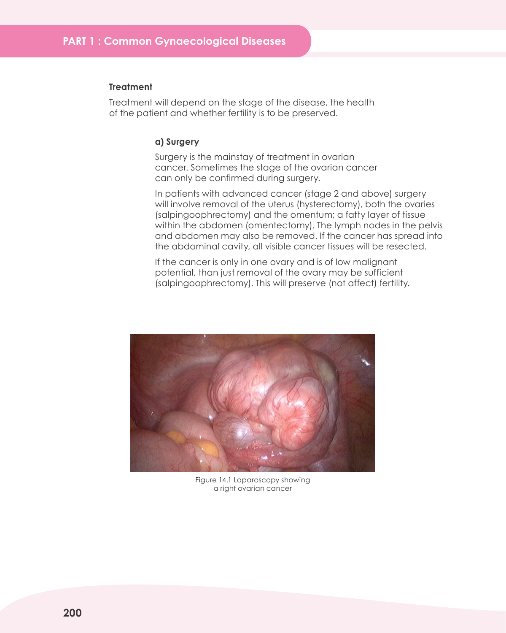#### **Treatment**

Treatment will depend on the stage of the disease, the health of the patient and whether fertility is to be preserved.

#### **a) Surgery**

Surgery is the mainstay of treatment in ovarian cancer. Sometimes the stage of the ovarian cancer can only be confirmed during surgery.

In patients with advanced cancer (stage 2 and above) surgery will involve removal of the uterus (hysterectomy), both the ovaries (salpingoophrectomy) and the omentum; a fatty layer of tissue within the abdomen (omentectomy). The lymph nodes in the pelvis and abdomen may also be removed. If the cancer has spread into the abdominal cavity, all visible cancer tissues will be resected.

If the cancer is only in one ovary and is of low malignant potential, than just removal of the ovary may be sufficient (salpingoophrectomy). This will preserve (not affect) fertility.



Figure 14.1 Laparoscopy showing a right ovarian cancer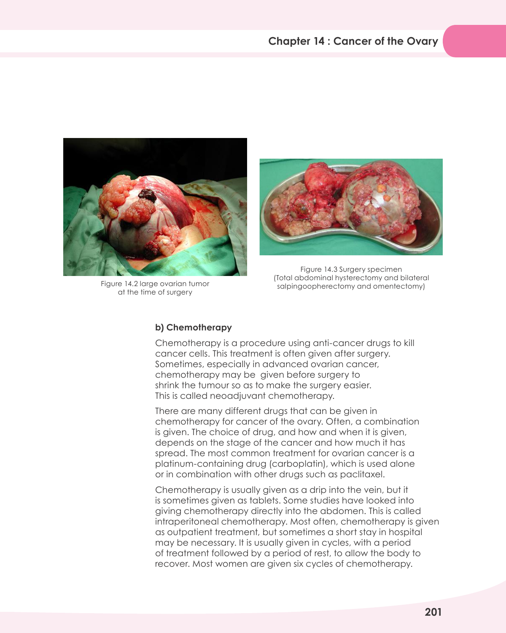

Figure 14.2 large ovarian tumor at the time of surgery



Figure 14.3 Surgery specimen (Total abdominal hysterectomy and bilateral salpingoopherectomy and omentectomy)

## **b) Chemotherapy**

Chemotherapy is a procedure using anti-cancer drugs to kill cancer cells. This treatment is often given after surgery. Sometimes, especially in advanced ovarian cancer, chemotherapy may be given before surgery to shrink the tumour so as to make the surgery easier. This is called neoadjuvant chemotherapy.

There are many different drugs that can be given in chemotherapy for cancer of the ovary. Often, a combination is given. The choice of drug, and how and when it is given, depends on the stage of the cancer and how much it has spread. The most common treatment for ovarian cancer is a platinum-containing drug (carboplatin), which is used alone or in combination with other drugs such as paclitaxel.

Chemotherapy is usually given as a drip into the vein, but it is sometimes given as tablets. Some studies have looked into giving chemotherapy directly into the abdomen. This is called intraperitoneal chemotherapy. Most often, chemotherapy is given as outpatient treatment, but sometimes a short stay in hospital may be necessary. It is usually given in cycles, with a period of treatment followed by a period of rest, to allow the body to recover. Most women are given six cycles of chemotherapy.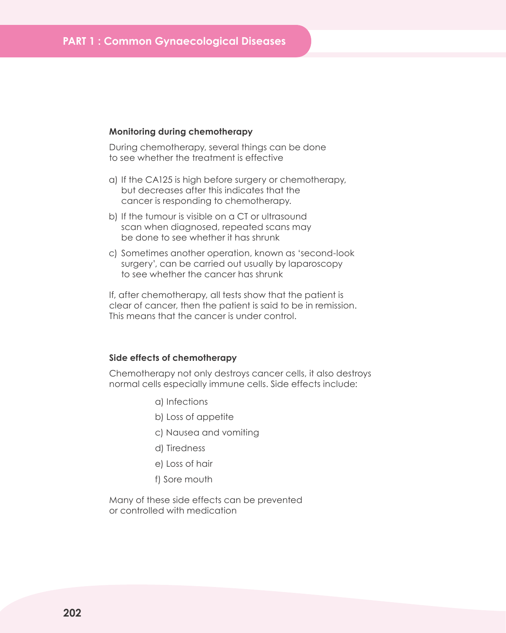#### **Monitoring during chemotherapy**

During chemotherapy, several things can be done to see whether the treatment is effective

- a) If the CA125 is high before surgery or chemotherapy, but decreases after this indicates that the cancer is responding to chemotherapy.
- b) If the tumour is visible on a CT or ultrasound scan when diagnosed, repeated scans may be done to see whether it has shrunk
- c) Sometimes another operation, known as 'second-look surgery', can be carried out usually by laparoscopy to see whether the cancer has shrunk

If, after chemotherapy, all tests show that the patient is clear of cancer, then the patient is said to be in remission. This means that the cancer is under control.

### **Side effects of chemotherapy**

Chemotherapy not only destroys cancer cells, it also destroys normal cells especially immune cells. Side effects include:

- a) Infections
- b) Loss of appetite
- c) Nausea and vomiting
- d) Tiredness
- e) Loss of hair
- f) Sore mouth

Many of these side effects can be prevented or controlled with medication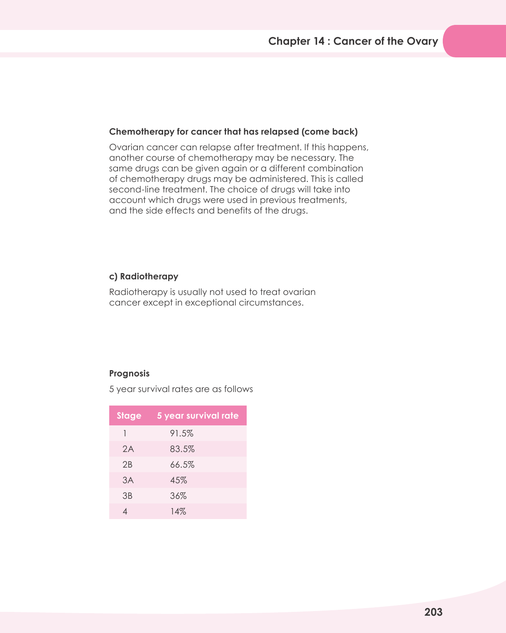## **Chemotherapy for cancer that has relapsed (come back)**

Ovarian cancer can relapse after treatment. If this happens, another course of chemotherapy may be necessary. The same drugs can be given again or a different combination of chemotherapy drugs may be administered. This is called second-line treatment. The choice of drugs will take into account which drugs were used in previous treatments, and the side effects and benefits of the drugs.

## **c) Radiotherapy**

Radiotherapy is usually not used to treat ovarian cancer except in exceptional circumstances.

## **Prognosis**

5 year survival rates are as follows

| Stage | 5 year survival rate |
|-------|----------------------|
|       | 91.5%                |
| 2A    | 83.5%                |
| 2B    | 66.5%                |
| 3A    | 45%                  |
| 3B    | 36%                  |
|       | 14%                  |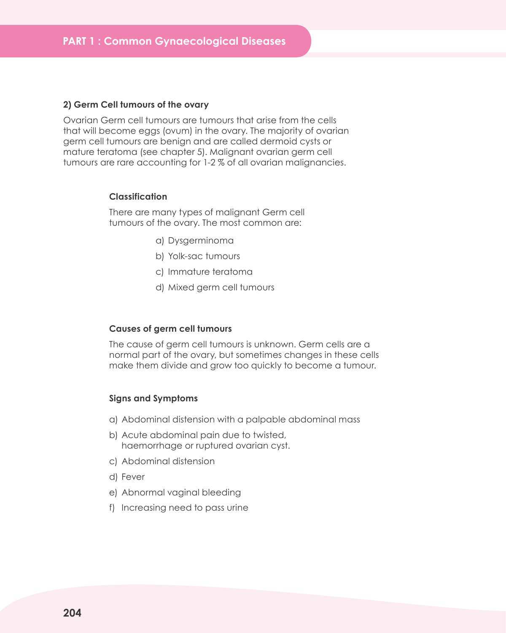#### **2) Germ Cell tumours of the ovary**

Ovarian Germ cell tumours are tumours that arise from the cells that will become eggs (ovum) in the ovary. The majority of ovarian germ cell tumours are benign and are called dermoid cysts or mature teratoma (see chapter 5). Malignant ovarian germ cell tumours are rare accounting for 1-2 % of all ovarian malignancies.

#### **Classification**

There are many types of malignant Germ cell tumours of the ovary. The most common are:

- a) Dysgerminoma
- b) Yolk-sac tumours
- c) Immature teratoma
- d) Mixed germ cell tumours

#### **Causes of germ cell tumours**

The cause of germ cell tumours is unknown. Germ cells are a normal part of the ovary, but sometimes changes in these cells make them divide and grow too quickly to become a tumour.

#### **Signs and Symptoms**

- a) Abdominal distension with a palpable abdominal mass
- b) Acute abdominal pain due to twisted, haemorrhage or ruptured ovarian cyst.
- c) Abdominal distension
- d) Fever
- e) Abnormal vaginal bleeding
- f) Increasing need to pass urine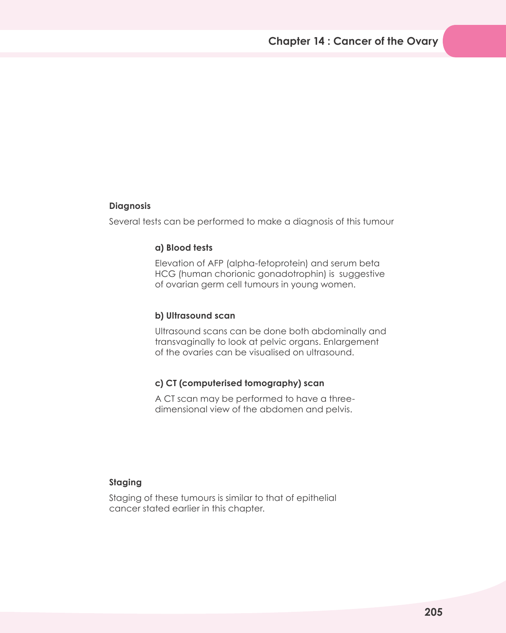## **Diagnosis**

Several tests can be performed to make a diagnosis of this tumour

## **a) Blood tests**

Elevation of AFP (alpha-fetoprotein) and serum beta HCG (human chorionic gonadotrophin) is suggestive of ovarian germ cell tumours in young women.

## **b) Ultrasound scan**

Ultrasound scans can be done both abdominally and transvaginally to look at pelvic organs. Enlargement of the ovaries can be visualised on ultrasound.

## **c) CT (computerised tomography) scan**

A CT scan may be performed to have a threedimensional view of the abdomen and pelvis.

## **Staging**

Staging of these tumours is similar to that of epithelial cancer stated earlier in this chapter.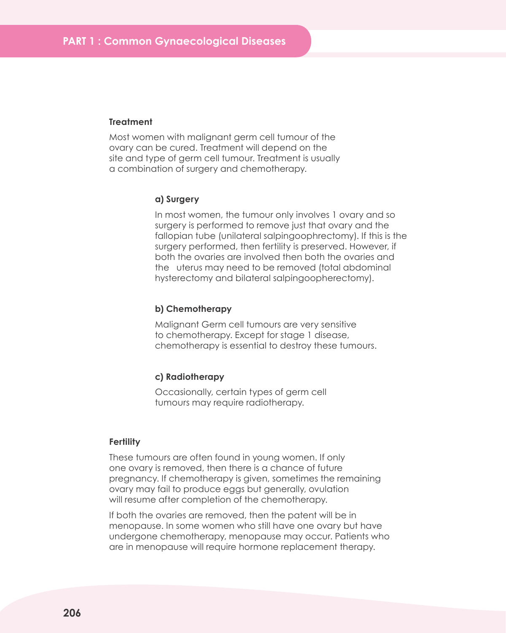#### **Treatment**

Most women with malignant germ cell tumour of the ovary can be cured. Treatment will depend on the site and type of germ cell tumour. Treatment is usually a combination of surgery and chemotherapy.

#### **a) Surgery**

In most women, the tumour only involves 1 ovary and so surgery is performed to remove just that ovary and the fallopian tube (unilateral salpingoophrectomy). If this is the surgery performed, then fertility is preserved. However, if both the ovaries are involved then both the ovaries and the uterus may need to be removed (total abdominal hysterectomy and bilateral salpingoopherectomy).

#### **b) Chemotherapy**

Malignant Germ cell tumours are very sensitive to chemotherapy. Except for stage 1 disease, chemotherapy is essential to destroy these tumours.

#### **c) Radiotherapy**

Occasionally, certain types of germ cell tumours may require radiotherapy.

#### **Fertility**

These tumours are often found in young women. If only one ovary is removed, then there is a chance of future pregnancy. If chemotherapy is given, sometimes the remaining ovary may fail to produce eggs but generally, ovulation will resume after completion of the chemotherapy.

If both the ovaries are removed, then the patent will be in menopause. In some women who still have one ovary but have undergone chemotherapy, menopause may occur. Patients who are in menopause will require hormone replacement therapy.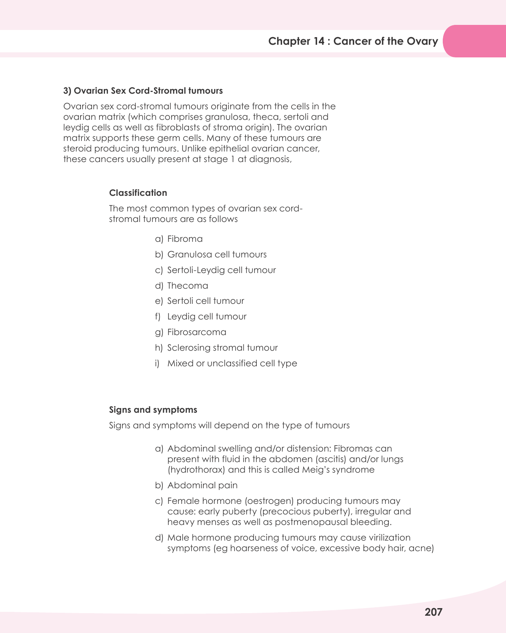## **3) Ovarian Sex Cord-Stromal tumours**

Ovarian sex cord-stromal tumours originate from the cells in the ovarian matrix (which comprises granulosa, theca, sertoli and leydig cells as well as fibroblasts of stroma origin). The ovarian matrix supports these germ cells. Many of these tumours are steroid producing tumours. Unlike epithelial ovarian cancer, these cancers usually present at stage 1 at diagnosis,

## **Classification**

The most common types of ovarian sex cordstromal tumours are as follows

- a) Fibroma
- b) Granulosa cell tumours
- c) Sertoli-Leydig cell tumour
- d) Thecoma
- e) Sertoli cell tumour
- f) Leydig cell tumour
- g) Fibrosarcoma
- h) Sclerosing stromal tumour
- i) Mixed or unclassified cell type

## **Signs and symptoms**

Signs and symptoms will depend on the type of tumours

- a) Abdominal swelling and/or distension: Fibromas can present with fluid in the abdomen (ascitis) and/or lungs (hydrothorax) and this is called Meig's syndrome
- b) Abdominal pain
- c) Female hormone (oestrogen) producing tumours may cause: early puberty (precocious puberty), irregular and heavy menses as well as postmenopausal bleeding.
- d) Male hormone producing tumours may cause virilization symptoms (eg hoarseness of voice, excessive body hair, acne)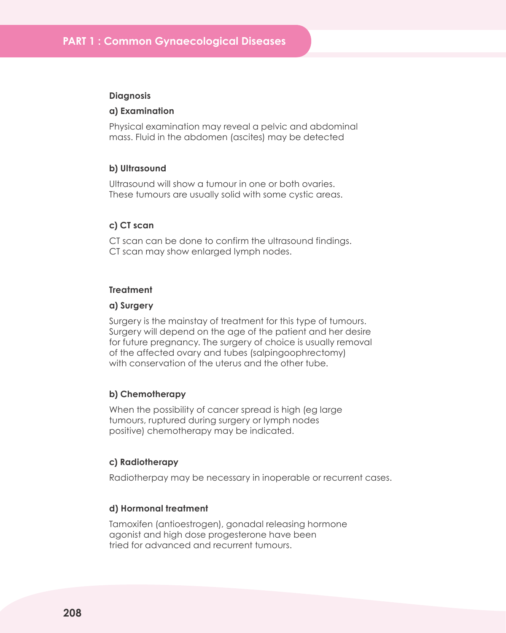#### **Diagnosis**

#### **a) Examination**

Physical examination may reveal a pelvic and abdominal mass. Fluid in the abdomen (ascites) may be detected

#### **b) Ultrasound**

Ultrasound will show a tumour in one or both ovaries. These tumours are usually solid with some cystic areas.

## **c) CT scan**

CT scan can be done to confirm the ultrasound findings. CT scan may show enlarged lymph nodes.

## **Treatment**

#### **a) Surgery**

Surgery is the mainstay of treatment for this type of tumours. Surgery will depend on the age of the patient and her desire for future pregnancy. The surgery of choice is usually removal of the affected ovary and tubes (salpingoophrectomy) with conservation of the uterus and the other tube.

#### **b) Chemotherapy**

When the possibility of cancer spread is high (eg large tumours, ruptured during surgery or lymph nodes positive) chemotherapy may be indicated.

#### **c) Radiotherapy**

Radiotherpay may be necessary in inoperable or recurrent cases.

#### **d) Hormonal treatment**

Tamoxifen (antioestrogen), gonadal releasing hormone agonist and high dose progesterone have been tried for advanced and recurrent tumours.